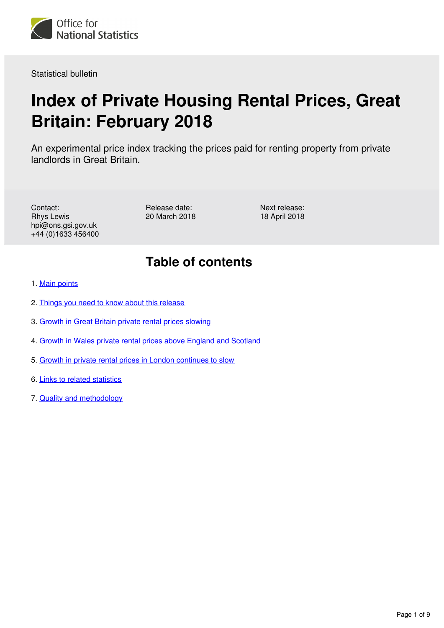

Statistical bulletin

# **Index of Private Housing Rental Prices, Great Britain: February 2018**

An experimental price index tracking the prices paid for renting property from private landlords in Great Britain.

Contact: Rhys Lewis hpi@ons.gsi.gov.uk +44 (0)1633 456400 Release date: 20 March 2018 Next release: 18 April 2018

## **Table of contents**

- 1. [Main points](#page-1-0)
- 2. [Things you need to know about this release](#page-1-1)
- 3. [Growth in Great Britain private rental prices slowing](#page-1-2)
- 4. [Growth in Wales private rental prices above England and Scotland](#page-3-0)
- 5. [Growth in private rental prices in London continues to slow](#page-5-0)
- 6. [Links to related statistics](#page-7-0)
- 7. [Quality and methodology](#page-8-0)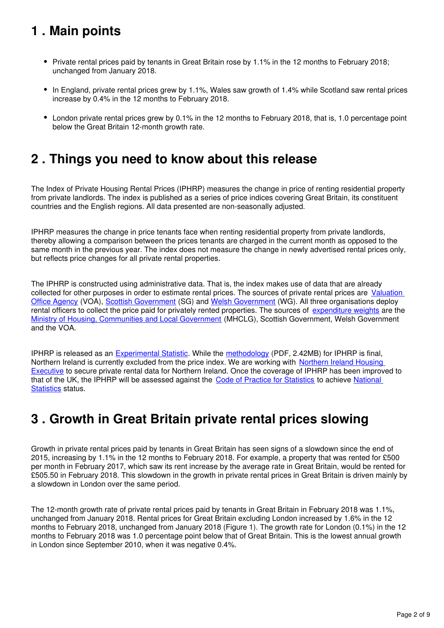## <span id="page-1-0"></span>**1 . Main points**

- Private rental prices paid by tenants in Great Britain rose by 1.1% in the 12 months to February 2018; unchanged from January 2018.
- In England, private rental prices grew by 1.1%, Wales saw growth of 1.4% while Scotland saw rental prices increase by 0.4% in the 12 months to February 2018.
- London private rental prices grew by 0.1% in the 12 months to February 2018, that is, 1.0 percentage point below the Great Britain 12-month growth rate.

### <span id="page-1-1"></span>**2 . Things you need to know about this release**

The Index of Private Housing Rental Prices (IPHRP) measures the change in price of renting residential property from private landlords. The index is published as a series of price indices covering Great Britain, its constituent countries and the English regions. All data presented are non-seasonally adjusted.

IPHRP measures the change in price tenants face when renting residential property from private landlords, thereby allowing a comparison between the prices tenants are charged in the current month as opposed to the same month in the previous year. The index does not measure the change in newly advertised rental prices only, but reflects price changes for all private rental properties.

The IPHRP is constructed using administrative data. That is, the index makes use of data that are already collected for other purposes in order to estimate rental prices. The sources of private rental prices are [Valuation](https://www.gov.uk/government/organisations/valuation-office-agency)  [Office Agency](https://www.gov.uk/government/organisations/valuation-office-agency) (VOA), [Scottish Government](http://www.gov.scot/) (SG) and Welsh Government (WG). All three organisations deploy rental officers to collect the price paid for privately rented properties. The sources of [expenditure weights](https://www.ons.gov.uk/economy/inflationandpriceindices/datasets/indexofprivatehousingrentalpricesweightsanalysis) are the [Ministry of Housing, Communities and Local Government](https://www.gov.uk/government/organisations/ministry-of-housing-communities-and-local-government) (MHCLG), Scottish Government, Welsh Government and the VOA.

IPHRP is released as an [Experimental Statistic](http://www.ons.gov.uk/methodology/methodologytopicsandstatisticalconcepts/guidetoexperimentalstatistics). While the methodology (PDF, 2.42MB) for IPHRP is final, Northern Ireland is currently excluded from the price index. We are working with Northern Ireland Housing [Executive](http://www.nihe.gov.uk/) to secure private rental data for Northern Ireland. Once the coverage of IPHRP has been improved to that of the UK, the IPHRP will be assessed against the [Code of Practice for Statistics](https://www.statisticsauthority.gov.uk/code-of-practice/) to achieve National [Statistics](https://www.statisticsauthority.gov.uk/about-the-authority/uk-statistical-system/types-of-official-statistics/) status.

### <span id="page-1-2"></span>**3 . Growth in Great Britain private rental prices slowing**

Growth in private rental prices paid by tenants in Great Britain has seen signs of a slowdown since the end of 2015, increasing by 1.1% in the 12 months to February 2018. For example, a property that was rented for £500 per month in February 2017, which saw its rent increase by the average rate in Great Britain, would be rented for £505.50 in February 2018. This slowdown in the growth in private rental prices in Great Britain is driven mainly by a slowdown in London over the same period.

The 12-month growth rate of private rental prices paid by tenants in Great Britain in February 2018 was 1.1%, unchanged from January 2018. Rental prices for Great Britain excluding London increased by 1.6% in the 12 months to February 2018, unchanged from January 2018 (Figure 1). The growth rate for London (0.1%) in the 12 months to February 2018 was 1.0 percentage point below that of Great Britain. This is the lowest annual growth in London since September 2010, when it was negative 0.4%.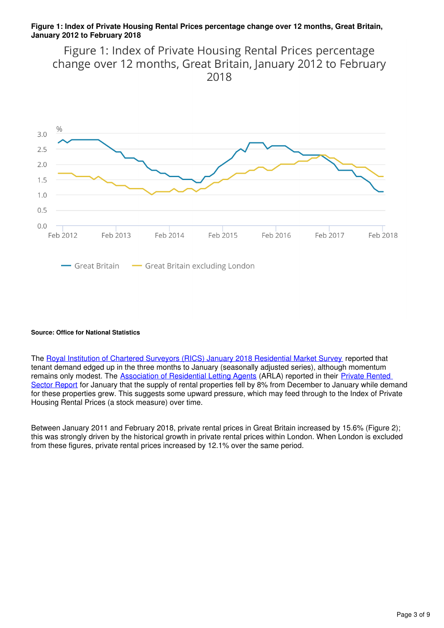#### **Figure 1: Index of Private Housing Rental Prices percentage change over 12 months, Great Britain, January 2012 to February 2018**

Figure 1: Index of Private Housing Rental Prices percentage change over 12 months, Great Britain, January 2012 to February 2018



#### **Source: Office for National Statistics**

The [Royal Institution of Chartered Surveyors \(RICS\) January 2018 Residential Market Survey](http://www.rics.org/uk/knowledge/market-analysis/rics-residential-market-survey/) reported that tenant demand edged up in the three months to January (seasonally adjusted series), although momentum remains only modest. The **[Association of Residential Letting Agents](http://www.arla.co.uk/)** (ARLA) reported in their **Private Rented** [Sector Report](http://www.arla.co.uk/lobbying/private-rented-sector-reports/) for January that the supply of rental properties fell by 8% from December to January while demand for these properties grew. This suggests some upward pressure, which may feed through to the Index of Private Housing Rental Prices (a stock measure) over time.

Between January 2011 and February 2018, private rental prices in Great Britain increased by 15.6% (Figure 2); this was strongly driven by the historical growth in private rental prices within London. When London is excluded from these figures, private rental prices increased by 12.1% over the same period.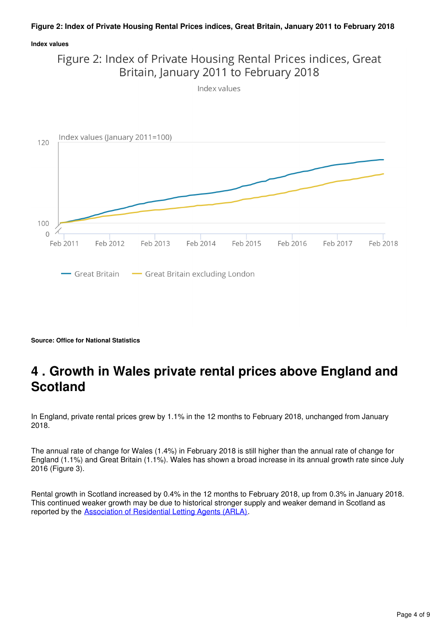#### **Figure 2: Index of Private Housing Rental Prices indices, Great Britain, January 2011 to February 2018**

#### **Index values**



Index values



**Source: Office for National Statistics**

### <span id="page-3-0"></span>**4 . Growth in Wales private rental prices above England and Scotland**

In England, private rental prices grew by 1.1% in the 12 months to February 2018, unchanged from January 2018.

The annual rate of change for Wales (1.4%) in February 2018 is still higher than the annual rate of change for England (1.1%) and Great Britain (1.1%). Wales has shown a broad increase in its annual growth rate since July 2016 (Figure 3).

Rental growth in Scotland increased by 0.4% in the 12 months to February 2018, up from 0.3% in January 2018. This continued weaker growth may be due to historical stronger supply and weaker demand in Scotland as reported by the [Association of Residential Letting Agents \(ARLA\)](http://www.arla.co.uk/lobbying/private-rented-sector-reports/).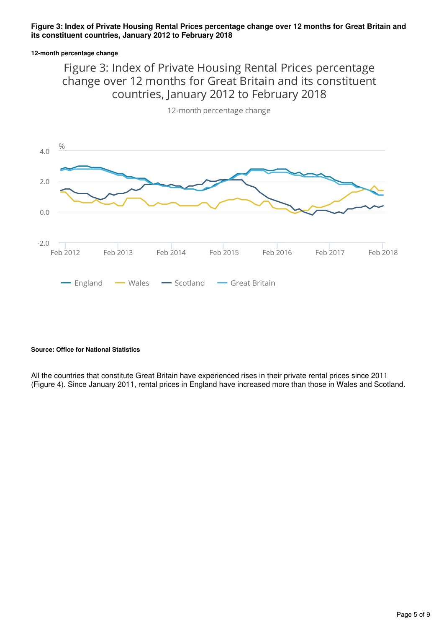#### **Figure 3: Index of Private Housing Rental Prices percentage change over 12 months for Great Britain and its constituent countries, January 2012 to February 2018**

#### **12-month percentage change**

### Figure 3: Index of Private Housing Rental Prices percentage change over 12 months for Great Britain and its constituent countries, January 2012 to February 2018



12-month percentage change

#### **Source: Office for National Statistics**

All the countries that constitute Great Britain have experienced rises in their private rental prices since 2011 (Figure 4). Since January 2011, rental prices in England have increased more than those in Wales and Scotland.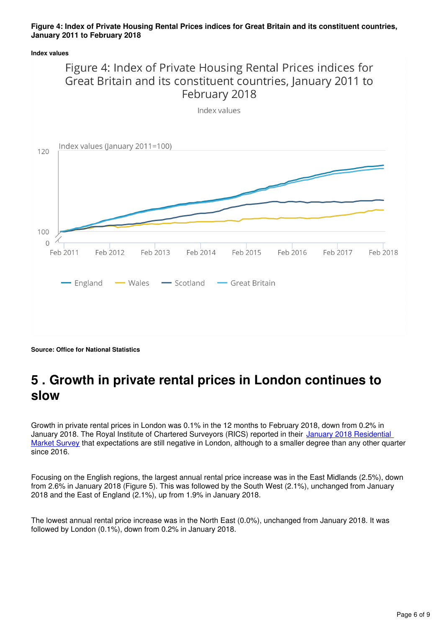#### **Figure 4: Index of Private Housing Rental Prices indices for Great Britain and its constituent countries, January 2011 to February 2018**

#### **Index values**





**Source: Office for National Statistics**

## <span id="page-5-0"></span>**5 . Growth in private rental prices in London continues to slow**

Growth in private rental prices in London was 0.1% in the 12 months to February 2018, down from 0.2% in January 2018. The Royal Institute of Chartered Surveyors (RICS) reported in their January 2018 Residential [Market Survey](http://www.rics.org/uk/knowledge/market-analysis/rics-residential-market-survey/) that expectations are still negative in London, although to a smaller degree than any other quarter since 2016.

Focusing on the English regions, the largest annual rental price increase was in the East Midlands (2.5%), down from 2.6% in January 2018 (Figure 5). This was followed by the South West (2.1%), unchanged from January 2018 and the East of England (2.1%), up from 1.9% in January 2018.

The lowest annual rental price increase was in the North East (0.0%), unchanged from January 2018. It was followed by London (0.1%), down from 0.2% in January 2018.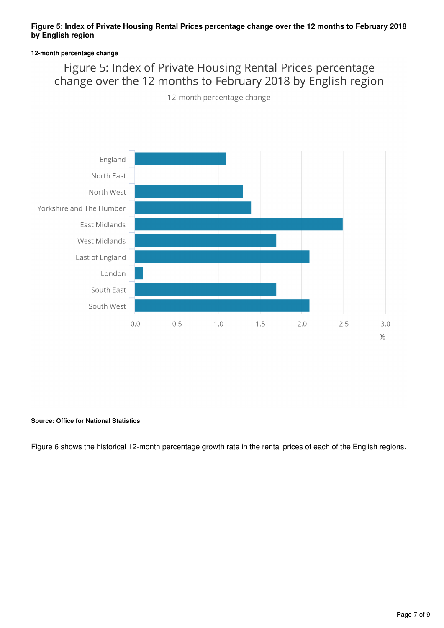#### **Figure 5: Index of Private Housing Rental Prices percentage change over the 12 months to February 2018 by English region**

#### **12-month percentage change**

### Figure 5: Index of Private Housing Rental Prices percentage change over the 12 months to February 2018 by English region

12-month percentage change



#### **Source: Office for National Statistics**

Figure 6 shows the historical 12-month percentage growth rate in the rental prices of each of the English regions.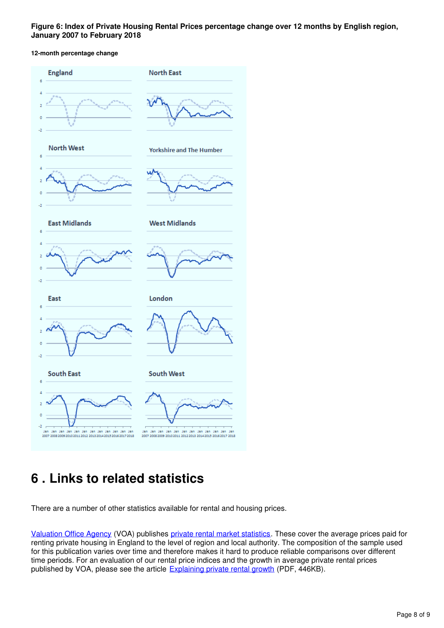**Figure 6: Index of Private Housing Rental Prices percentage change over 12 months by English region, January 2007 to February 2018**

#### **12-month percentage change**



### <span id="page-7-0"></span>**6 . Links to related statistics**

There are a number of other statistics available for rental and housing prices.

[Valuation Office Agency](http://www.voa.gov.uk/) (VOA) publishes [private rental market statistics](https://www.gov.uk/government/collections/private-rental-market-statistics). These cover the average prices paid for renting private housing in England to the level of region and local authority. The composition of the sample used for this publication varies over time and therefore makes it hard to produce reliable comparisons over different time periods. For an evaluation of our rental price indices and the growth in average private rental prices published by VOA, please see the article **Explaining private rental growth** (PDF, 446KB).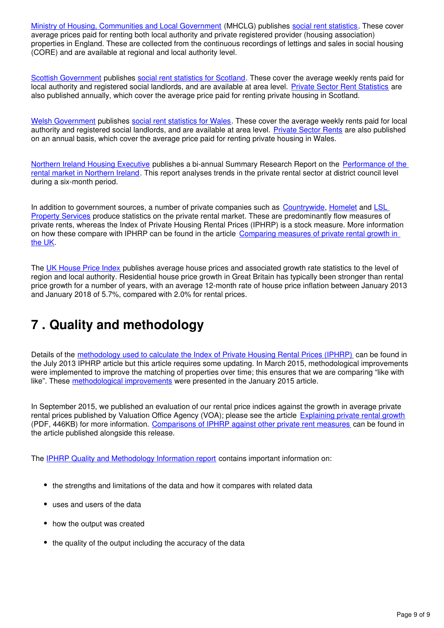[Ministry of Housing, Communities and Local Government](https://www.gov.uk/government/organisations/ministry-of-housing-communities-and-local-government) (MHCLG) publishes [social rent statistics](https://www.gov.uk/government/organisations/department-for-communities-and-local-government/series/rents-lettings-and-tenancies). These cover average prices paid for renting both local authority and private registered provider (housing association) properties in England. These are collected from the continuous recordings of lettings and sales in social housing (CORE) and are available at regional and local authority level.

[Scottish Government](http://home.scotland.gov.uk/home) publishes social rent statistics for Scotland[.](http://www.scotland.gov.uk/Topics/Statistics/Browse/Housing-Regeneration/HSfS/socialhousing) These cover the average weekly rents paid for local authority and registered social landlords, and are available at area level. [Private Sector Rent Statistics](http://www.gov.scot/Publications/2017/11/7528) are also published annually, which cover the average price paid for renting private housing in Scotland.

[Welsh Government](http://wales.gov.uk/) publishes [social rent statistics for Wales](https://statswales.wales.gov.uk/Catalogue/Housing/Social-Housing-Stock-and-Rents). These cover the average weekly rents paid for local authority and registered social landlords, and are available at area level. [Private Sector Rents](http://gov.wales/statistics-and-research/private-sector-rents/?lang=en) are also published on an annual basis, which cover the average price paid for renting private housing in Wales.

[Northern Ireland Housing Executive](http://www.nihe.gov.uk/) publishes a bi-annual Summary Research Report on the [Performance of the](http://www.nihe.gov.uk/index/corporate/housing_research/completed/private_rented_sector_and_rents.htm)  [rental market in Northern Ireland.](http://www.nihe.gov.uk/index/corporate/housing_research/completed/private_rented_sector_and_rents.htm) This report analyses trends in the private rental sector at district council level during a six-month period.

In addition to government sources[,](http://www.countrywide.co.uk/news/)a number of private companies such as [Countrywide](http://www.countrywide.co.uk/news/), Homelet and LSL [Property Services](http://www.lslps.co.uk/news/market-intelligence) produce statistics on the private rental market. These are predominantly flow measures of private rents, whereas the Index of Private Housing Rental Prices (IPHRP) is a stock measure. More information on how these compare with IPHRP can be found in the article [Comparing measures of private rental growth in](https://www.ons.gov.uk/economy/inflationandpriceindices/articles/comparingmeasuresofprivaterentalgrowthintheuk/previousReleases)  [the UK.](https://www.ons.gov.uk/economy/inflationandpriceindices/articles/comparingmeasuresofprivaterentalgrowthintheuk/previousReleases)

The [UK House Price Index](http://landregistry.data.gov.uk/app/ukhpi) publishes average house prices and associated growth rate statistics to the level of region and local authority. Residential house price growth in Great Britain has typically been stronger than rental price growth for a number of years, with an average 12-month rate of house price inflation between January 2013 and January 2018 of 5.7%, compared with 2.0% for rental prices.

## <span id="page-8-0"></span>**7 . Quality and methodology**

Details of the [methodology used to calculate the Index of Private Housing Rental Prices \(IPHRP\)](http://webarchive.nationalarchives.gov.uk/20160105160709/http:/www.ons.gov.uk/ons/rel/hpi/index-of-private-housing-rental-prices/historical-series/iphrp-article.html) can be found in the July 2013 IPHRP article but this article requires some updating. In March 2015, methodological improvements were implemented to improve the matching of properties over time; this ensures that we are comparing "like with like". These methodological improvements were presented in the January 2015 article.

In September 2015, we published an evaluation of our rental price indices against the growth in average private rental prices published by Valuation Office Agency (VOA); please see the article [Explaining private rental growth](http://webarchive.nationalarchives.gov.uk/20160105160709/http:/www.ons.gov.uk/ons/guide-method/user-guidance/prices/cpi-and-rpi/explaining-private-rental-growth.pdf) (PDF, 446KB) for more information. [Comparisons of IPHRP against other private rent measures](https://www.ons.gov.uk/economy/inflationandpriceindices/articles/comparingmeasuresofprivaterentalgrowthintheuk/previousReleases) can be found in the article published alongside this release.

The [IPHRP Quality and Methodology Information report](http://www.ons.gov.uk/economy/inflationandpriceindices/qmis/indexofprivatehousingrentalpricesqmi) contains important information on:

- the strengths and limitations of the data and how it compares with related data
- uses and users of the data
- how the output was created
- the quality of the output including the accuracy of the data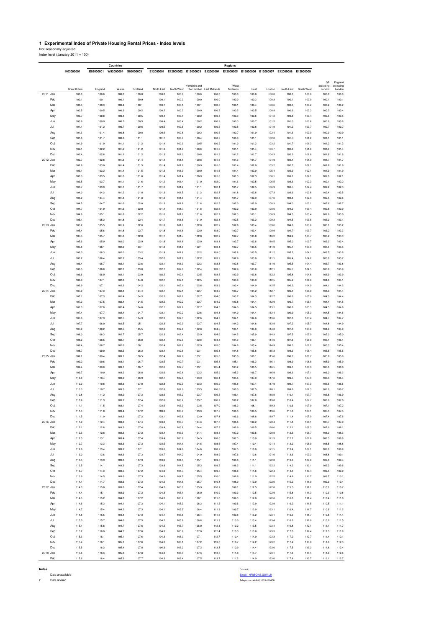## **1 Experimental Index of Private Housing Rental Prices - Index levels<br>Not seasonally adjusted<br>Index level (January 2011 = 100)**

|            | Countries            |                |                | Regions        |                |                |                |                                                                                 |                |                |                |                |                |                 |                      |
|------------|----------------------|----------------|----------------|----------------|----------------|----------------|----------------|---------------------------------------------------------------------------------|----------------|----------------|----------------|----------------|----------------|-----------------|----------------------|
|            | K03000001            | E92000001      | W92000004      | S92000003      | E12000001      |                |                | E12000002 E12000003 E12000004 E12000005 E12000006 E12000007 E12000008 E12000009 |                |                |                |                |                |                 |                      |
|            |                      |                |                |                |                |                |                |                                                                                 |                |                |                |                |                |                 |                      |
|            |                      |                |                |                |                |                | Yorkshire and  |                                                                                 | West           |                |                |                |                | GB<br>excluding | England<br>excluding |
|            | <b>Great Britain</b> | England        | Wales          | Scotland       | North East     | North West     |                | The Humber East Midlands                                                        | Midlands       | East           | London         | South East     | South West     | London          | London               |
| 2011 Jan   | 100.0                | 100.0          | 100.0          | 100.0          | 100.0          | 100.0          | 100.0          | 100.0                                                                           | 100.0          | 100.0          | 100.0          | 100.0          | 100.0          | 100.0           | 100.0                |
| Feb        | 100.1                | 100.1          | 100.1          | 99.9           | 100.1          | 100.0          | 100.0          | 100.0                                                                           | 100.0          | 100.3          | 100.3          | 100.1          | 100.0          | 100.1           | 100.1                |
| Mar        | 100.3                | 100.3          | 100.4          | 100.1          | 100.1          | 100.1          | 100.1          | 100.0                                                                           | 100.1          | 100.4          | 100.6          | 100.3          | 100.2          | 100.2           | 100.2                |
| Apr        | 100.5                | 100.5          | 100.3          | 100.2          | 100.2          | 100.2          | 100.0          | 100.2                                                                           | 100.2          | 100.5          | 100.9          | 100.6          | 100.3          | 100.3           | 100.4                |
| May        | 100.7                | 100.8          | 100.4          | 100.5          | 100.4          | 100.4          | 100.2          | 100.3                                                                           | 100.3          | 100.6          | 101.2          | 100.8          | 100.4          | 100.5           | 100.5                |
| Jun        | 100.9                | 100.9          | 100.5          | 100.5          | 100.4          | 100.4          | 100.2          | 100.3                                                                           | 100.3          | 100.7          | 101.5          | 101.0          | 100.6          | 100.6           | 100.6                |
| Jul        | 101.1                | 101.2          | 100.7          | 100.6          | 100.5          | 100.5          | 100.2          | 100.5                                                                           | 100.5          | 100.8          | 101.9          | 101.2          | 100.7          | 100.7           | 100.7                |
| Aug        | 101.3                | 101.4          | 100.8          | 100.8          | 100.9          | 100.6          | 100.3          | 100.6                                                                           | 100.7          | 101.0          | 102.4          | 101.3          | 100.9          | 100.9           | 100.9                |
| Sep        | 101.6                | 101.7          | 100.8          | 101.1          | 101.1          | 100.8          | 100.4          | 100.7                                                                           | 100.8          | 101.1          | 102.8          | 101.5          | 101.2          | 101.1           | 101.1                |
| Oct        | 101.9                | 101.9          | 101.1          | 101.2          | 101.4          | 100.9          | 100.5          | 100.9                                                                           | 101.0          | 101.3          | 103.2          | 101.7          | 101.3          | 101.2           | 101.2                |
| Nov<br>Dec | 102.1<br>102.4       | 102.2<br>102.6 | 101.2          | 101.2<br>101.2 | 101.3<br>101.3 | 101.0<br>101.0 | 100.6<br>100.8 | 101.0<br>101.2                                                                  | 101.1<br>101.2 | 101.4<br>101.7 | 103.7<br>104.3 | 102.0<br>102.3 | 101.6<br>101.8 | 101.4           | 101.4                |
| 2012 Jan   | 102.7                | 102.8          | 101.3<br>101.3 | 101.4          | 101.4          | 101.1          | 100.8          | 101.6                                                                           | 101.3          | 101.7          | 104.9          | 102.4          | 101.9          | 101.6<br>101.7  | 101.6<br>101.7       |
| Feb        | 102.9                | 103.0          | 101.4          | 101.5          | 101.4          | 101.2          | 100.9          | 101.6                                                                           | 101.4          | 102.0          | 105.2          | 102.7          | 102.1          | 101.8           | 101.9                |
| Mar        | 103.1                | 103.2          | 101.4          | 101.5          | 101.3          | 101.3          | 100.9          | 101.6                                                                           | 101.4          | 102.0          | 105.4          | 102.9          | 102.1          | 101.9           | 101.9                |
| Apr        | 103.3                | 103.5          | 101.0          | 101.6          | 101.4          | 101.4          | 100.9          | 101.8                                                                           | 101.5          | 102.3          | 106.1          | 103.1          | 102.1          | 102.0           | 102.1                |
| May        | 103.5                | 103.7          | 101.1          | 101.6          | 101.2          | 101.4          | 101.0          | 102.0                                                                           | 101.6          | 102.5          | 106.5          | 103.3          | 102.3          | 102.1           | 102.2                |
| Jun        | 103.7                | 103.9          | 101.1          | 101.7          | 101.2          | 101.4          | 101.1          | 102.1                                                                           | 101.7          | 102.5          | 106.9          | 103.5          | 102.4          | 102.2           | 102.3                |
| Jul        | 104.0                | 104.2          | 101.2          | 101.8          | 101.3          | 101.5          | 101.2          | 102.3                                                                           | 101.8          | 102.8          | 107.3          | 103.6          | 102.6          | 102.4           | 102.5                |
| Aug        | 104.2                | 104.4          | 101.4          | 101.8          | 101.3          | 101.6          | 101.4          | 102.3                                                                           | 101.7          | 102.9          | 107.6          | 103.8          | 102.9          | 102.5           | 102.6                |
| Sep        | 104.5                | 104.7          | 101.6          | 102.0          | 101.3          | 101.6          | 101.6          | 102.5                                                                           | 102.0          | 102.9          | 108.3          | 104.0          | 103.1          | 102.6           | 102.7                |
| Oct        | 104.7                | 104.9          | 101.6          | 102.0          | 101.4          | 101.7          | 101.8          | 102.6                                                                           | 102.2          | 102.9          | 108.6          | 104.2          | 103.4          | 102.8           | 102.9                |
| Nov        | 104.8                | 105.1          | 101.8          | 102.2          | 101.6          | 101.7          | 101.8          | 102.7                                                                           | 102.3          | 103.1          | 108.9          | 104.3          | 103.4          | 102.9           | 103.0                |
| Dec        | 105.1                | 105.3          | 101.8          | 102.4          | 101.7          | 101.8          | 101.9          | 102.8                                                                           | 102.5          | 103.2          | 109.3          | 104.5          | 103.5          | 103.0           | 103.1                |
| 2013 Jan   | 105.2                | 105.5          | 101.9          | 102.6          | 101.8          | 101.8          | 102.0          | 102.9                                                                           | 102.6          | 103.4          | 109.6          | 104.6          | 103.6          | 103.1           | 103.2                |
| Feb        | 105.4                | 105.6          | 101.8          | 102.7          | 101.8          | 101.8          | 102.0          | 103.0                                                                           | 102.7          | 103.4          | 109.9          | 104.7          | 103.7          | 103.2           | 103.3                |
| Mar        | 105.5                | 105.7          | 101.8          | 102.8          | 101.7          | 101.7          | 102.0          | 102.9                                                                           | 102.7          | 103.6          | 110.2          | 104.9          | 103.7          | 103.2           | 103.3                |
| Apr        | 105.6                | 105.9          | 102.0          | 102.9          | 101.8          | 101.8          | 102.0          | 103.1                                                                           | 102.7          | 103.6          | 110.5          | 105.0          | 103.7          | 103.3           | 103.4                |
| May        | 105.8                | 106.1          | 102.0          | 103.1          | 101.8          | 101.8          | 102.1          | 103.1                                                                           | 102.7          | 103.5          | 111.0          | 105.1          | 103.9          | 103.4           | 103.5                |
| Jun        | 106.0                | 106.3          | 102.0          | 103.2          | 101.9          | 101.8          | 102.2          | 103.0                                                                           | 102.8          | 103.5          | 111.2          | 105.2          | 104.1          | 103.5           | 103.6                |
| Jul        | 106.2                | 106.4          | 102.2          | 103.4          | 102.0          | 101.9          | 102.2          | 103.2                                                                           | 102.9          | 103.6          | 111.5          | 105.4          | 104.2          | 103.6           | 103.7                |
| Aug        | 106.4                | 106.7          | 102.1          | 103.6          | 102.1          | 101.9          | 102.3          | 103.3                                                                           | 102.8          | 103.7          | 111.9          | 105.5          | 104.4          | 103.7           | 103.8                |
| Sep        | 106.5                | 106.8          | 102.1          | 103.8          | 102.1          | 102.0          | 102.4          | 103.5                                                                           | 102.9          | 103.8          | 112.1          | 105.7          | 104.5          | 103.8           | 103.9                |
| Oct<br>Nov | 106.6<br>106.8       | 106.9<br>107.1 | 102.1<br>102.3 | 103.9<br>104.0 | 102.2<br>102.1 | 102.1<br>102.1 | 102.5<br>102.5 | 103.5<br>103.8                                                                  | 102.9<br>103.0 | 103.8<br>103.9 | 112.2<br>112.5 | 105.8<br>105.9 | 104.6<br>104.8 | 103.9<br>104.0  | 103.9<br>104.1       |
| Dec        | 106.9                | 107.1          | 102.3          | 104.2          | 102.1          | 102.1          | 102.6          | 103.9                                                                           | 103.4          | 104.0          | 112.5          | 106.2          | 104.9          | 104.1           | 104.2                |
| 2014 Jan   | 107.0                | 107.3          | 102.4          | 104.4          | 102.1          | 102.1          | 102.7          | 104.0                                                                           | 103.7          | 104.2          | 112.7          | 106.4          | 105.0          | 104.3           | 104.4                |
| Feb        | 107.1                | 107.3          | 102.4          | 104.5          | 102.2          | 102.1          | 102.7          | 104.0                                                                           | 103.7          | 104.3          | 112.7          | 106.6          | 105.0          | 104.3           | 104.4                |
| Mar        | 107.2                | 107.5          | 102.4          | 104.5          | 102.2          | 102.2          | 102.7          | 104.2                                                                           | 103.8          | 104.4          | 112.9          | 106.7          | 105.1          | 104.4           | 104.5                |
| Apr        | 107.3                | 107.6          | 102.4          | 104.6          | 102.1          | 102.2          | 102.7          | 104.3                                                                           | 104.0          | 104.5          | 113.1          | 106.8          | 105.3          | 104.5           | 104.6                |
| May        | 107.4                | 107.7          | 102.4          | 104.7          | 102.1          | 102.2          | 102.6          | 104.3                                                                           | 104.0          | 104.4          | 113.4          | 106.9          | 105.3          | 104.5           | 104.6                |
| Jun        | 107.6                | 107.9          | 102.5          | 104.9          | 102.2          | 102.3          | 102.6          | 104.7                                                                           | 104.1          | 104.6          | 113.6          | 107.0          | 105.4          | 104.7           | 104.7                |
| Jul        | 107.7                | 108.0          | 102.5          | 105.1          | 102.3          | 102.3          | 102.7          | 104.5                                                                           | 104.2          | 104.8          | 113.9          | 107.2          | 105.7          | 104.8           | 104.9                |
| Aug        | 107.9                | 108.2          | 102.5          | 105.5          | 102.3          | 102.4          | 102.8          | 104.5                                                                           | 104.1          | 104.8          | 114.0          | 107.3          | 105.8          | 104.9           | 104.9                |
| Sep        | 108.0                | 108.3          | 102.7          | 105.7          | 102.3          | 102.4          | 102.9          | 104.6                                                                           | 104.2          | 105.0          | 114.3          | 107.5          | 105.9          | 105.0           | 105.0                |
| Oct        | 108.2                | 108.5          | 102.7          | 106.0          | 102.4          | 102.5          | 102.8          | 104.8                                                                           | 104.3          | 105.1          | 114.6          | 107.6          | 106.0          | 105.1           | 105.1                |
| Nov        | 108.4                | 108.7          | 102.6          | 106.1          | 102.4          | 102.6          | 102.9          | 105.0                                                                           | 104.6          | 105.4          | 114.9          | 108.0          | 106.2          | 105.3           | 105.4                |
| Dec        | 108.7                | 109.0          | 102.5          | 106.3          | 102.4          | 102.6          | 103.1          | 105.1                                                                           | 104.8          | 105.8          | 115.3          | 108.3          | 106.4          | 105.5           | 105.6                |
| 2015 Jan   | 109.1                | 109.4          | 103.1          | 106.5          | 102.4          | 102.7          | 103.1          | 105.3                                                                           | 105.0          | 106.1          | 115.8          | 108.7          | 106.7          | 105.8           | 105.8                |
| Feb        | 109.2                | 109.6          | 103.1          | 106.7          | 102.5          | 102.7          | 103.1          | 105.4                                                                           | 105.1          | 106.3          | 116.1          | 108.9          | 106.8          | 105.9           | 105.9                |
| Mar        | 109.4                | 109.8          | 103.1          | 106.7          | 102.6          | 102.7          | 103.1          | 105.4                                                                           | 105.2          | 106.5          | 116.5          | 109.1          | 106.9          | 106.0           | 106.0                |
| Apr        | 109.7                | 110.0          | 103.2          | 106.8          | 102.6          | 102.8          | 103.2          | 105.9                                                                           | 105.3          | 106.7          | 116.9          | 109.3          | 107.1          | 106.2           | 106.3                |
| May<br>Jun | 110.0<br>110.2       | 110.4<br>110.6 | 103.2<br>103.3 | 106.9<br>107.0 | 102.7          | 102.8<br>102.9 | 103.3<br>103.3 | 106.1<br>106.2                                                                  | 105.6          | 107.0<br>107.4 | 117.6<br>117.9 | 109.5<br>109.7 | 107.3<br>107.3 | 106.3           | 106.4<br>106.6       |
| Jul        | 110.3                | 110.7          | 103.3          | 107.1          | 102.8<br>102.8 | 102.9          | 103.5          | 106.3                                                                           | 105.8<br>106.0 | 107.5          | 118.1          | 109.8          | 107.3          | 106.5<br>106.6  | 106.7                |
| Aug        | 110.8                | 111.2          | 103.2          | 107.3          | 102.9          | 103.2          | 103.7          | 106.5                                                                           | 106.1          | 107.6          | 118.9          | 110.1          | 107.7          | 106.8           | 106.9                |
| Sep        | 110.9                | 111.3          | 103.2          | 107.4          | 102.8          | 103.2          | 103.7          | 106.7                                                                           | 106.2          | 107.8          | 119.0          | 110.4          | 107.7          | 106.9           | 107.0                |
| Oct        | 111.1                | 111.5          | 103.1          | 107.4          | 102.9          | 103.3          | 103.8          | 107.0                                                                           | 106.3          | 108.1          | 119.3          | 110.6          | 107.9          | 107.1           | 107.2                |
| Nov        | 111.3                | 111.8          | 103.4          | 107.2          | 103.0          | 103.6          | 103.9          | 107.3                                                                           | 106.5          | 108.5          | 119.6          | 111.0          | 108.1          | 107.3           | 107.5                |
| Dec        | 111.5                | 111.9          | 103.3          | 107.2          | 103.1          | 103.6          | 103.9          | 107.4                                                                           | 106.6          | 108.8          | 119.7          | 111.4          | 107.9          | 107.4           | 107.6                |
| 2016 Jan   | 111.9                | 112.4          | 103.3          | 107.4          | 103.3          | 103.7          | 104.3          | 107.7                                                                           | 106.8          | 109.2          | 120.4          | 111.8          | 108.1          | 107.7           | 107.9                |
| Feb        | 112.1                | 112.6          | 103.3          | 107.4          | 103.4          | 103.8          | 104.4          | 107.9                                                                           | 106.9          | 109.5          | 120.6          | 112.1          | 108.3          | 107.9           | 108.1                |
| Mar        | 112.3                | 112.8          | 103.3          | 107.3          | 103.4          | 103.9          | 104.4          | 108.3                                                                           | 107.2          | 109.6          | 120.9          | 112.3          | 108.7          | 108.0           | 108.3                |
| Apr        | 112.5                | 113.1          | 103.4          | 107.4          | 103.4          | 103.9          | 104.5          | 108.6                                                                           | 107.3          | 110.0          | 121.3          | 112.7          | 108.8          | 108.3           | 108.6                |
| May        | 112.7                | 113.3          | 103.3          | 107.3          | 103.5          | 104.1          | 104.6          | 108.6                                                                           | 107.4          | 110.4          | 121.4          | 113.2          | 108.9          | 108.5           | 108.8                |
| Jun        | 112.8                | 113.4          | 103.2          | 107.1          | 103.6          | 104.0          | 104.6          | 108.7                                                                           | 107.5          | 110.6          | 121.5          | 113.4          | 109.1          | 108.6           | 108.9                |
| Jul        | 113.0                | 113.6          | 103.3          | 107.3          | 103.7          | 104.2          | 104.9          | 108.9                                                                           | 107.6          | 110.8          | 121.6          | 113.6          | 109.3          | 108.8           | 109.1                |
| Aug        | 113.3                | 113.9          | 103.3          | 107.3          | 103.8          | 104.3          | 105.1          | 109.0                                                                           | 108.0          | 111.1          | 122.0          | 113.8          | 109.8          | 109.0           | 109.4                |
| Sep        | 113.5                | 114.1          | 103.3          | 107.3          | 103.9          | 104.5          | 105.3          | 109.2                                                                           | 108.2          | 111.1          | 122.2          | 114.2          | 110.1          | 109.2           | 109.6                |
| Oct<br>Nov | 113.7<br>113.9       | 114.3<br>114.5 | 103.5<br>103.6 | 107.2<br>107.3 | 104.0<br>104.2 | 104.7<br>104.7 | 105.4<br>105.5 | 109.5<br>110.0                                                                  | 108.6<br>108.8 | 111.6<br>111.9 | 122.4<br>122.5 | 114.4<br>114.8 | 110.4<br>110.7 | 109.4<br>109.7  | 109.9<br>110.1       |
| Dec        | 114.1                | 114.7          | 103.6          | 107.3          | 104.2          | 104.8          | 105.7          | 110.4                                                                           | 108.9          | 112.0          | 122.6          | 115.2          | 111.0          | 109.9           | 110.4                |
| 2017 Jan   | 114.3                | 115.0          | 103.8          | 107.4          | 104.2          | 105.0          | 105.9          | 110.7                                                                           | 109.1          | 112.5          | 122.8          | 115.5          | 111.1          | 110.1           | 110.7                |
| Feb        | 114.4                | 115.1          | 103.9          | 107.3          | 104.3          | 105.1          | 106.0          | 110.9                                                                           | 109.3          | 112.5          | 122.9          | 115.8          | 111.3          | 110.3           | 110.8                |
| Mar        | 114.5                | 115.2          | 104.0          | 107.2          | 104.2          | 105.2          | 106.1          | 111.0                                                                           | 109.3          | 112.8          | 122.8          | 116.0          | 111.4          | 110.4           | 111.0                |
| Apr        | 114.6                | 115.3          | 104.1          | 107.3          | 104.1          | 105.3          | 106.3          | 111.2                                                                           | 109.6          | 112.9          | 122.9          | 116.2          | 111.5          | 110.5           | 111.1                |
| May        | 114.7                | 115.4          | 104.2          | 107.3          | 104.1          | 105.5          | 106.4          | 111.3                                                                           | 109.7          | 113.0          | 123.1          | 116.4          | 111.7          | 110.6           | 111.2                |
| Jun        | 114.8                | 115.5          | 104.4          | 107.3          | 104.1          | 105.6          | 106.4          | 111.6                                                                           | 109.8          | 113.2          | 123.1          | 116.5          | 111.7          | 110.8           | 111.4                |
| Jul        | 115.0                | 115.7          | 104.6          | 107.5          | 104.2          | 105.6          | 106.6          | 111.9                                                                           | 110.0          | 113.4          | 123.4          | 116.6          | 112.0          | 110.9           | 111.5                |
| Aug        | 115.1                | 115.8          | 104.7          | 107.6          | 104.2          | 105.7          | 106.9          | 112.1                                                                           | 110.2          | 113.5          | 123.4          | 116.8          | 112.1          | 111.1           | 111.7                |
| Sep        | 115.2                | 116.0          | 104.7          | 107.6          | 104.3          | 105.9          | 107.0          | 112.4                                                                           | 110.3          | 113.8          | 123.3          | 117.0          | 112.4          | 111.3           | 111.9                |
| Oct        | 115.3                | 116.1          | 105.1          | 107.6          | 104.3          | 106.0          | 107.1          | 112.7                                                                           | 110.4          | 114.0          | 123.3          | 117.2          | 112.7          | 111.4           | 112.1                |
| Nov        | 115.4                | 116.1          | 105.1          | 107.6          | 104.2          | 106.1          | 107.2          | 113.0                                                                           | 110.7          | 114.2          | 123.2          | 117.4          | 113.0          | 111.6           | 112.3                |
| Dec        | 115.5                | 116.2          | 105.4          | 107.8          | 104.3          | 106.2          | 107.3          | 113.3                                                                           | 110.9          | 114.4          | 123.0          | 117.5          | 113.3          | 111.8           | 112.4                |
| 2018 Jan   | 115.6                | 116.3          | 105.3          | 107.8          | 104.3          | 106.3          | 107.3          | 113.6                                                                           | 111.0          | 114.7          | 123.1          | 117.6          | 113.5          | 111.9           | 112.6                |
| Feb        | 115.6                | 116.4          | 105.3          | 107.7          | 104.3          | 106.4          | 107.5          | 113.7                                                                           | 111.2          | 114.9          | 123.0          | 117.8          | 113.7          | 112.1           | 112.7                |

**Notes** Contact:

- Data unavailable **[Email - HPI@ONS.GOV.UK](mailto:hpi@ons.gov.uk)**<br>『 Data revised Telephone - +44 (0)1633 4564000 PM - 1999 PM - 1999 PM - 1999 PM - 1999 PM - 1999 PM - 1999 PM - 1999 PM - 1999 PM - 1999 PM - 1999 PM - 1999 PM - 1999 PM - 1999 P